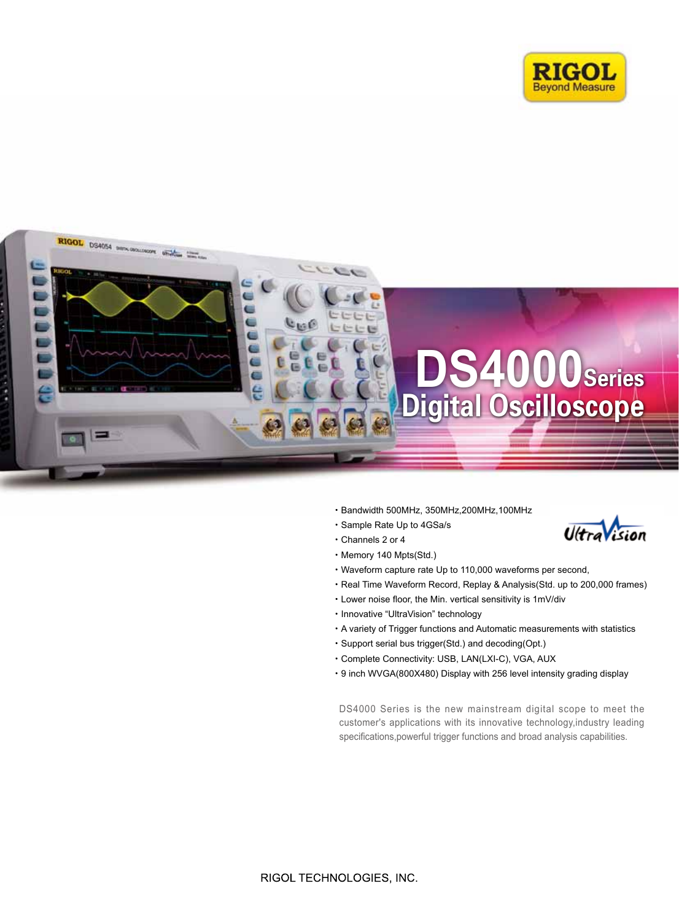



- ·Bandwidth 500MHz, 350MHz,200MHz,100MHz
- ·Sample Rate Up to 4GSa/s
- ·Channels 2 or 4



- 
- ·Memory 140 Mpts(Std.) ·Waveform capture rate Up to 110,000 waveforms per second,
- ·Real Time Waveform Record, Replay & Analysis(Std. up to 200,000 frames)
- ·Lower noise floor, the Min. vertical sensitivity is 1mV/div
- ·Innovative "UltraVision" technology
- ·A variety of Trigger functions and Automatic measurements with statistics
- ·Support serial bus trigger(Std.) and decoding(Opt.)
- ·Complete Connectivity: USB, LAN(LXI-C), VGA, AUX
- ·9 inch WVGA(800X480) Display with 256 level intensity grading display

DS4000 Series is the new mainstream digital scope to meet the customer's applications with its innovative technology,industry leading specifications, powerful trigger functions and broad analysis capabilities.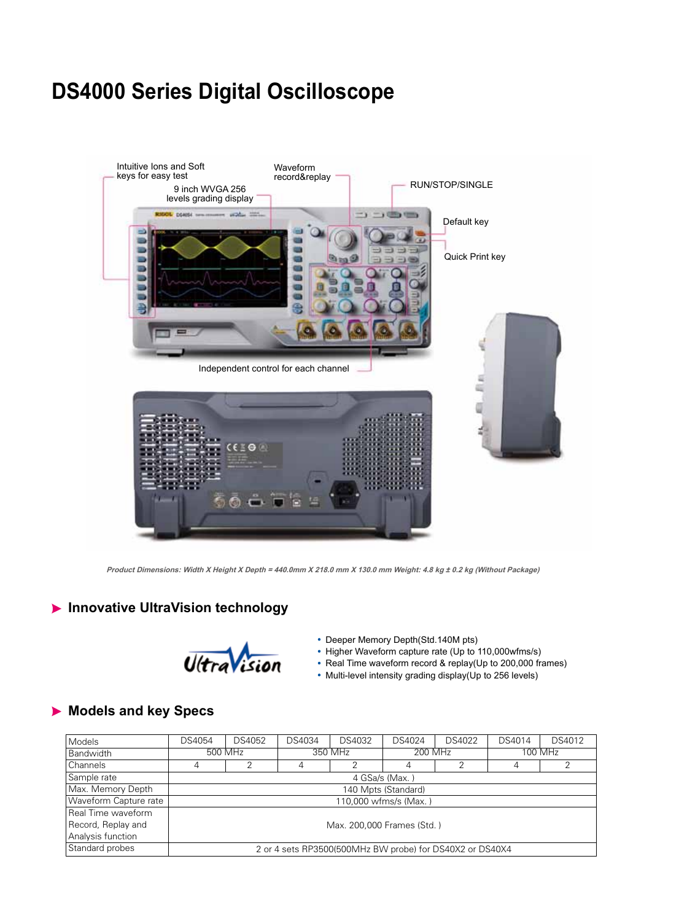# **DS4000 Series Digital Oscilloscope**



**Product Dimensions: Width X Height X Depth = 440.0mm X 218.0 mm X 130.0 mm Weight: 4.8 kg ± 0.2 kg (Without Package)**

## **Innovative UltraVision technology**



- Deeper Memory Depth(Std.140M pts)
- Higher Waveform capture rate (Up to 110,000wfms/s)
- Real Time waveform record & replay(Up to 200,000 frames)
- Multi-level intensity grading display(Up to 256 levels)

## **Models and key Specs**

| <b>Models</b>         | DS4054  | DS4052 | DS4034 | DS4032                                                   | DS4024                | DS4022 | DS4014 | DS4012  |
|-----------------------|---------|--------|--------|----------------------------------------------------------|-----------------------|--------|--------|---------|
| Bandwidth             | 500 MHz |        |        | 350 MHz                                                  | 200 MHz               |        |        | 100 MHz |
| Channels              | 4       | っ      |        |                                                          | 4                     | հ      | 4      |         |
| Sample rate           |         |        |        |                                                          | 4 GSa/s (Max.)        |        |        |         |
| Max. Memory Depth     |         |        |        |                                                          | 140 Mpts (Standard)   |        |        |         |
| Waveform Capture rate |         |        |        |                                                          | 110,000 wfms/s (Max.) |        |        |         |
| Real Time waveform    |         |        |        |                                                          |                       |        |        |         |
| Record, Replay and    |         |        |        | Max. 200.000 Frames (Std.)                               |                       |        |        |         |
| Analysis function     |         |        |        |                                                          |                       |        |        |         |
| Standard probes       |         |        |        | 2 or 4 sets RP3500(500MHz BW probe) for DS40X2 or DS40X4 |                       |        |        |         |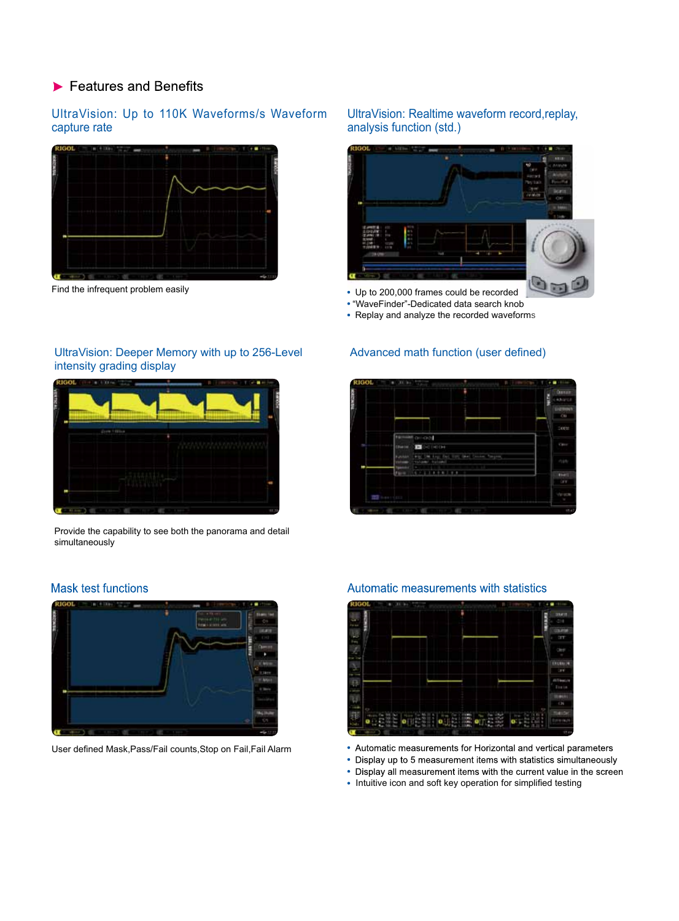## $\blacktriangleright$  Features and Benefits

### UltraVision: Up to 110K Waveforms/s Waveform capture rate



Find the infrequent problem easily

#### UltraVision: Realtime waveform record,replay, analysis function (std.)



- "WaveFinder"-Dedicated data search knob
- Replay and analyze the recorded waveforms

#### Advanced math function (user defined)



UltraVision: Deeper Memory with up to 256-Level

Provide the capability to see both the panorama and detail simultaneously

### **Mask test functions**



User defined Mask,Pass/Fail counts,Stop on Fail,Fail Alarm



Automatic measurements with statistics

- 
- Automatic measurements for Horizontal and vertical parameters
- Display up to 5 measurement items with statistics simultaneously
- Display all measurement items with the current value in the screen
- Intuitive icon and soft key operation for simplified testing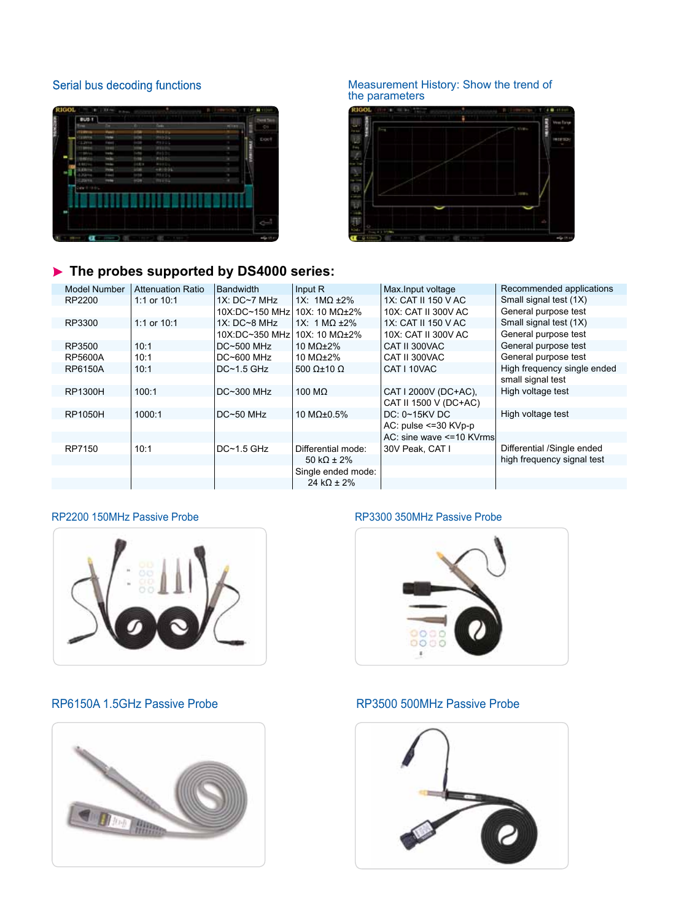### Serial bus decoding functions



### **The probes supported by DS4000 series:**

#### Model Number | Attenuation Ratio RP2200 RP3300 RP3500 RP5600A RP6150A RP1300H RP1050H RP7150 1:1 or 10:1 1:1 or 10:1 10:1 10:1 10:1 100:1 1000:1 10:1 Bandwidth 1X: DC~7 MHz 10X:DC~150 MHz 1X: DC~8 MHz 10X:DC~350 MHz 10X: 10 MΩ±2% DC~500 MHz DC~600 MHz DC~1.5 GHz DC~300 MHz DC~50 MHz DC~1.5 GHz Input R 1X: 1MΩ ±2% 10X: 10 MΩ±2% 1X: 1 MΩ ±2% 10 MΩ±2% 10 MΩ±2% 500 Ω±10 Ω 100 MΩ 10 MΩ±0.5% Differential mode: 50 kΩ ± 2% Single ended mode: 24 kΩ  $\pm$  2% Small signal test (1X) General purpose test Small signal test (1X) General purpose test General purpose test General purpose test High frequency single ended small signal test High voltage test High voltage test Differential /Single ended high frequency signal test Max.Input voltage 1X: CAT II 150 V AC 10X: CAT II 300V AC 1X: CAT II 150 V AC 10X: CAT II 300V AC CAT II 300VAC CAT II 300VAC CAT I 10VAC CAT I 2000V (DC+AC), CAT II 1500 V (DC+AC) DC: 0~15KV DC AC: pulse <=30 KVp-p AC: sine wave <=10 KVrms 30V Peak, CAT I Recommended applications

#### RP2200 150MHz Passive Probe **RP3300 350MHz Passive Probe** RP3300 350MHz Passive Probe



### RP6150A 1.5GHz Passive Probe RP3500 500MHz Passive Probe







#### Measurement History: Show the trend of the parameters

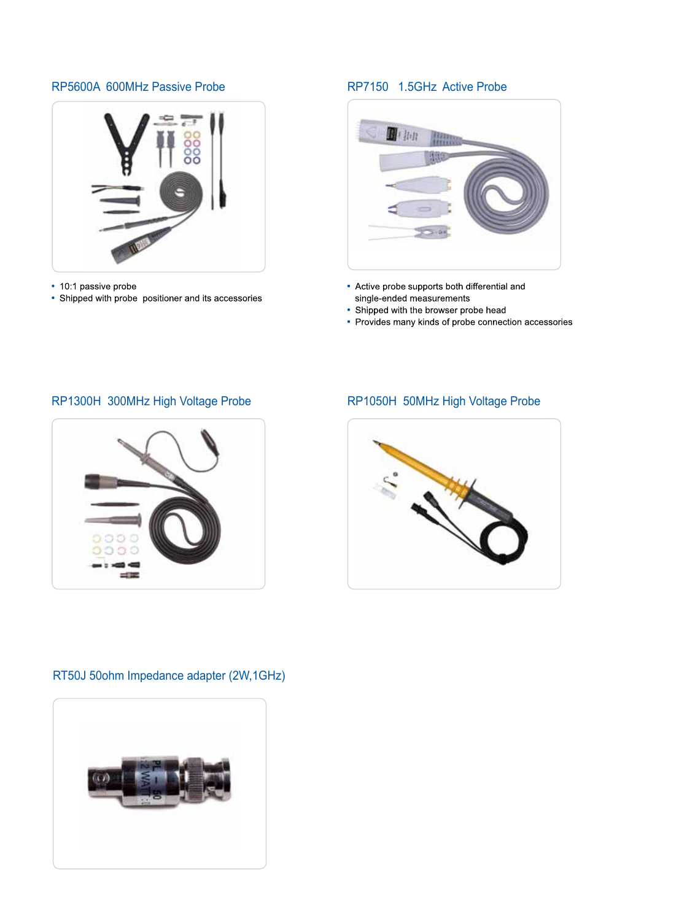### RP5600A 600MHz Passive Probe RP7150 1.5GHz Active Probe



- 10:1 passive probe
- Shipped with probe positioner and its accessories



- Active probe supports both differential and single-ended measurements
- Shipped with the browser probe head
- Provides many kinds of probe connection accessories

## RP1300H 300MHz High Voltage Probe RP1050H 50MHz High Voltage Probe





### RT50J 50ohm Impedance adapter (2W,1GHz)

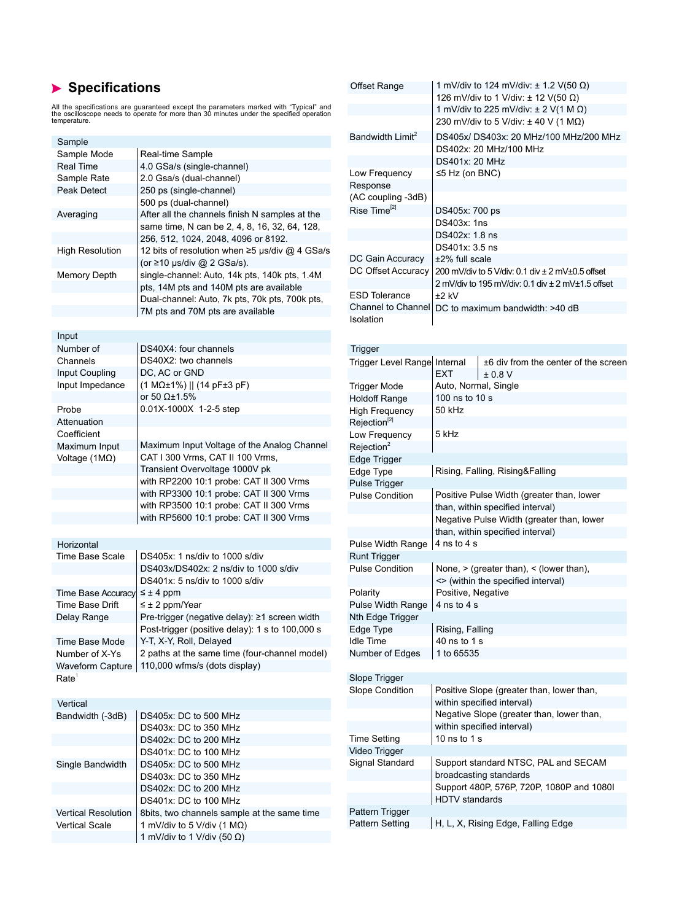## **Specifications**

All the specifications are guaranteed except the parameters marked with "Typical" and the oscilloscope needs to operate for more than 30 minutes under the specified operation temperature.

| Sample                     |                                                                     | Baı  |
|----------------------------|---------------------------------------------------------------------|------|
| Sample Mode                | Real-time Sample                                                    |      |
| <b>Real Time</b>           | 4.0 GSa/s (single-channel)                                          |      |
| Sample Rate                | 2.0 Gsa/s (dual-channel)                                            | L٥   |
| Peak Detect                | 250 ps (single-channel)                                             | Re   |
|                            | 500 ps (dual-channel)                                               | (AC  |
| Averaging                  | After all the channels finish N samples at the                      | Ris  |
|                            | same time, N can be 2, 4, 8, 16, 32, 64, 128,                       |      |
|                            | 256, 512, 1024, 2048, 4096 or 8192.                                 |      |
| <b>High Resolution</b>     | 12 bits of resolution when ≥5 µs/div @ 4 GSa/s                      |      |
|                            | (or ≥10 µs/div @ 2 GSa/s).                                          | DC   |
| Memory Depth               | single-channel: Auto, 14k pts, 140k pts, 1.4M                       | DC   |
|                            | pts, 14M pts and 140M pts are available                             |      |
|                            | Dual-channel: Auto, 7k pts, 70k pts, 700k pts,                      | ES   |
|                            | 7M pts and 70M pts are available                                    | Chi  |
|                            |                                                                     | lso  |
| Input                      |                                                                     |      |
| Number of                  | DS40X4: four channels                                               |      |
| Channels                   | DS40X2: two channels                                                | Trig |
|                            | DC, AC or GND                                                       | Triç |
| Input Coupling             |                                                                     |      |
| Input Impedance            | $(1 M\Omega \pm 1\%)$    (14 pF $\pm 3$ pF)<br>or 50 $\Omega$ ±1.5% | Triç |
|                            | 0.01X-1000X 1-2-5 step                                              | Hol  |
| Probe                      |                                                                     | Hig  |
| Attenuation                |                                                                     | Rej  |
| Coefficient                |                                                                     | Lov  |
| Maximum Input              | Maximum Input Voltage of the Analog Channel                         | Rej  |
| Voltage (1MΩ)              | CAT I 300 Vrms, CAT II 100 Vrms,<br>Transient Overvoltage 1000V pk  | Edg  |
|                            | with RP2200 10:1 probe: CAT II 300 Vrms                             | Edg  |
|                            |                                                                     | Pul  |
|                            | with RP3300 10:1 probe: CAT II 300 Vrms                             | Pul  |
|                            | with RP3500 10:1 probe: CAT II 300 Vrms                             |      |
|                            | with RP5600 10:1 probe: CAT II 300 Vrms                             |      |
|                            |                                                                     |      |
| Horizontal                 |                                                                     | Pul  |
| Time Base Scale            | DS405x: 1 ns/div to 1000 s/div                                      | Rui  |
|                            | DS403x/DS402x: 2 ns/div to 1000 s/div                               | Pul  |
|                            | DS401x: 5 ns/div to 1000 s/div                                      |      |
| Time Base Accuracy         | $\leq \pm 4$ ppm                                                    | Pol  |
| Time Base Drift            | $\leq \pm 2$ ppm/Year                                               | Pul  |
| Delay Range                | Pre-trigger (negative delay): ≥1 screen width                       | Nth  |
|                            | Post-trigger (positive delay): 1 s to 100,000 s                     | Edg  |
| Time Base Mode             | Y-T, X-Y, Roll, Delayed                                             | Idle |
| Number of X-Ys             | 2 paths at the same time (four-channel model)                       | Nuı  |
| <b>Waveform Capture</b>    | 110,000 wfms/s (dots display)                                       |      |
| Rate <sup>1</sup>          |                                                                     | Slo  |
|                            |                                                                     | Slo  |
| Vertical                   |                                                                     |      |
| Bandwidth (-3dB)           | DS405x: DC to 500 MHz                                               |      |
|                            | DS403x: DC to 350 MHz                                               |      |
|                            | DS402x: DC to 200 MHz                                               | Tim  |
|                            | DS401x: DC to 100 MHz                                               | Vid  |
| Single Bandwidth           | DS405x: DC to 500 MHz                                               | Sig  |
|                            | DS403x: DC to 350 MHz                                               |      |
|                            | DS402x: DC to 200 MHz                                               |      |
|                            | DS401x: DC to 100 MHz                                               |      |
| <b>Vertical Resolution</b> | 8bits, two channels sample at the same time                         | Pat  |
| <b>Vertical Scale</b>      | 1 mV/div to 5 V/div (1 $M\Omega$ )                                  | Pat  |
|                            | 1 mV/div to 1 V/div (50 $\Omega$ )                                  |      |

| <b>Offset Range</b>                            | 1 mV/div to 124 mV/div: $\pm$ 1.2 V(50 $\Omega$ )<br>126 mV/div to 1 V/div: ± 12 V(50 Ω) |
|------------------------------------------------|------------------------------------------------------------------------------------------|
|                                                | 1 mV/div to 225 mV/div: $\pm$ 2 V(1 M $\Omega$ )                                         |
|                                                | 230 mV/div to 5 V/div: $\pm$ 40 V (1 MQ)                                                 |
| Bandwidth Limit <sup>2</sup>                   | DS405x/ DS403x: 20 MHz/100 MHz/200 MHz                                                   |
|                                                | DS402x: 20 MHz/100 MHz                                                                   |
|                                                | <b>DS401x: 20 MHz</b>                                                                    |
|                                                |                                                                                          |
| Low Frequency                                  | $\leq$ 5 Hz (on BNC)                                                                     |
| Response                                       |                                                                                          |
| (AC coupling -3dB)<br>Rise Time <sup>[2]</sup> |                                                                                          |
|                                                | DS405x: 700 ps                                                                           |
|                                                | DS403x: 1ns                                                                              |
|                                                | DS402x: 1.8 ns                                                                           |
|                                                | DS401x: 3.5 ns                                                                           |
| DC Gain Accuracy                               | ±2% full scale                                                                           |
| DC Offset Accuracy                             | 200 mV/div to 5 V/div: 0.1 div ± 2 mV±0.5 offset                                         |
|                                                | 2 mV/div to 195 mV/div: 0.1 div ± 2 mV±1.5 offset                                        |
| <b>ESD Tolerance</b>                           | ±2 kV                                                                                    |
| Channel to Channel                             | DC to maximum bandwidth: >40 dB                                                          |
| Isolation                                      |                                                                                          |
|                                                |                                                                                          |
| Trigger                                        |                                                                                          |
| <b>Trigger Level Range</b>                     | Internal<br>±6 div from the center of the screen                                         |
|                                                | EXT<br>± 0.8 V                                                                           |
| <b>Trigger Mode</b>                            | Auto, Normal, Single                                                                     |
| <b>Holdoff Range</b>                           | 100 ns to 10 s                                                                           |
|                                                | 50 kHz                                                                                   |
| High Frequency<br>Rejection <sup>[2]</sup>     |                                                                                          |
|                                                | 5 kHz                                                                                    |
| Low Frequency<br>Rejection <sup>2</sup>        |                                                                                          |
|                                                |                                                                                          |
| Edge Trigger                                   | Rising, Falling, Rising&Falling                                                          |
| Edge Type                                      |                                                                                          |
| Pulse Trigger<br><b>Pulse Condition</b>        | Positive Pulse Width (greater than, lower                                                |
|                                                |                                                                                          |
|                                                |                                                                                          |
|                                                | than, within specified interval)                                                         |
|                                                | Negative Pulse Width (greater than, lower                                                |
|                                                | than, within specified interval)                                                         |
| Pulse Width Range                              | $4$ ns to $4$ s                                                                          |
| <b>Runt Trigger</b>                            |                                                                                          |
| <b>Pulse Condition</b>                         | None, $>$ (greater than), $<$ (lower than),                                              |
|                                                | <> (within the specified interval)                                                       |
| Polarity                                       | Positive, Negative                                                                       |
| Pulse Width Range                              | 4 ns to 4 s                                                                              |
| Nth Edge Trigger                               |                                                                                          |
| Edge Type                                      | Rising, Falling                                                                          |
| <b>Idle Time</b>                               | 40 ns to 1 s                                                                             |
| Number of Edges                                | 1 to 65535                                                                               |
|                                                |                                                                                          |
| Slope Trigger                                  |                                                                                          |
| <b>Slope Condition</b>                         | Positive Slope (greater than, lower than,                                                |
|                                                | within specified interval)                                                               |
|                                                | Negative Slope (greater than, lower than,                                                |
|                                                | within specified interval)                                                               |
| <b>Time Setting</b>                            | 10 ns to 1 s                                                                             |
| Video Trigger                                  |                                                                                          |
| Signal Standard                                | Support standard NTSC, PAL and SECAM                                                     |
|                                                | broadcasting standards                                                                   |
|                                                | Support 480P, 576P, 720P, 1080P and 1080I                                                |
|                                                | HDTV standards                                                                           |
| Pattern Trigger                                |                                                                                          |
| Pattern Setting                                | H, L, X, Rising Edge, Falling Edge                                                       |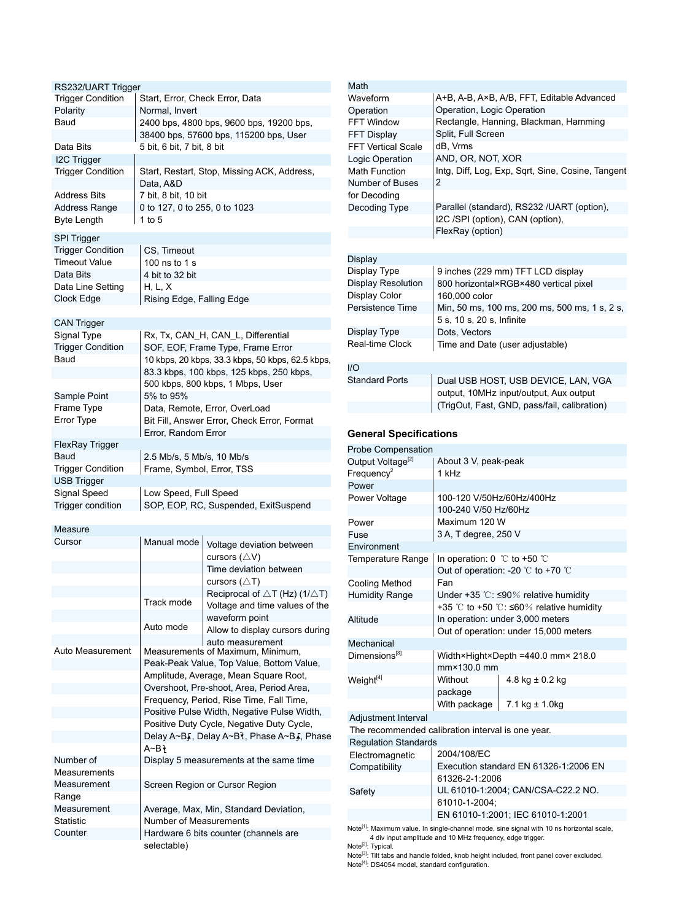| RS232/UART Trigger                      |                                 |                                                                         |
|-----------------------------------------|---------------------------------|-------------------------------------------------------------------------|
| <b>Trigger Condition</b>                | Start, Error, Check Error, Data |                                                                         |
| Polarity                                | Normal, Invert                  |                                                                         |
| Baud                                    |                                 | 2400 bps, 4800 bps, 9600 bps, 19200 bps,                                |
|                                         |                                 | 38400 bps, 57600 bps, 115200 bps, User                                  |
| Data Bits                               | 5 bit, 6 bit, 7 bit, 8 bit      |                                                                         |
| I2C Trigger                             |                                 |                                                                         |
| <b>Trigger Condition</b>                | Data, A&D                       | Start, Restart, Stop, Missing ACK, Address,                             |
| <b>Address Bits</b>                     | 7 bit, 8 bit, 10 bit            |                                                                         |
| Address Range                           | 0 to 127, 0 to 255, 0 to 1023   |                                                                         |
| <b>Byte Length</b>                      | 1 to $5$                        |                                                                         |
|                                         |                                 |                                                                         |
| SPI Trigger                             |                                 |                                                                         |
| <b>Trigger Condition</b>                | CS, Timeout                     |                                                                         |
| Timeout Value                           | 100 ns to 1 s                   |                                                                         |
| Data Bits                               | 4 bit to 32 bit                 |                                                                         |
| Data Line Setting                       | H, L, X                         |                                                                         |
| Clock Edge                              | Rising Edge, Falling Edge       |                                                                         |
|                                         |                                 |                                                                         |
| <b>CAN Trigger</b>                      |                                 |                                                                         |
| Signal Type<br><b>Trigger Condition</b> |                                 | Rx, Tx, CAN_H, CAN_L, Differential<br>SOF, EOF, Frame Type, Frame Error |
| Baud                                    |                                 | 10 kbps, 20 kbps, 33.3 kbps, 50 kbps, 62.5 kbps,                        |
|                                         |                                 | 83.3 kbps, 100 kbps, 125 kbps, 250 kbps,                                |
|                                         |                                 | 500 kbps, 800 kbps, 1 Mbps, User                                        |
| Sample Point                            | 5% to 95%                       |                                                                         |
| Frame Type                              |                                 | Data, Remote, Error, OverLoad                                           |
| Error Type                              |                                 | Bit Fill, Answer Error, Check Error, Format                             |
|                                         | Error, Random Error             |                                                                         |
| FlexRay Trigger                         |                                 |                                                                         |
| Baud                                    | 2.5 Mb/s, 5 Mb/s, 10 Mb/s       |                                                                         |
| <b>Trigger Condition</b>                | Frame, Symbol, Error, TSS       |                                                                         |
|                                         |                                 |                                                                         |
|                                         |                                 |                                                                         |
| <b>USB Trigger</b><br>Signal Speed      |                                 |                                                                         |
| Trigger condition                       | Low Speed, Full Speed           | SOP, EOP, RC, Suspended, ExitSuspend                                    |
|                                         |                                 |                                                                         |
| Measure                                 |                                 |                                                                         |
| Cursor                                  | Manual mode                     |                                                                         |
|                                         |                                 | Voltage deviation between<br>cursors $($ $\triangle$ V)                 |
|                                         |                                 | Time deviation between                                                  |
|                                         |                                 | cursors $(\triangle T)$                                                 |
|                                         |                                 | Reciprocal of $\triangle T$ (Hz) (1/ $\triangle T$ )                    |
|                                         | Track mode                      | Voltage and time values of the                                          |
|                                         |                                 | waveform point                                                          |
|                                         | Auto mode                       | Allow to display cursors during                                         |
|                                         |                                 | auto measurement                                                        |
| Auto Measurement                        |                                 | Measurements of Maximum, Minimum,                                       |
|                                         |                                 | Peak-Peak Value, Top Value, Bottom Value,                               |
|                                         |                                 | Amplitude, Average, Mean Square Root,                                   |
|                                         |                                 | Overshoot, Pre-shoot, Area, Period Area,                                |
|                                         |                                 | Frequency, Period, Rise Time, Fall Time,                                |
|                                         |                                 | Positive Pulse Width, Negative Pulse Width,                             |
|                                         |                                 | Positive Duty Cycle, Negative Duty Cycle,                               |
|                                         |                                 | Delay A~B <sub>s</sub> , Delay A~Bt, Phase A~B <sub>s</sub> , Phase     |
| Number of                               | A∼Bì                            |                                                                         |
| Measurements                            |                                 | Display 5 measurements at the same time                                 |
| Measurement                             |                                 | Screen Region or Cursor Region                                          |
| Range                                   |                                 |                                                                         |
| Measurement                             |                                 | Average, Max, Min, Standard Deviation,                                  |
| Statistic                               | Number of Measurements          |                                                                         |
| Counter                                 |                                 | Hardware 6 bits counter (channels are                                   |

| Math                      |                                                   |
|---------------------------|---------------------------------------------------|
| Waveform                  | A+B, A-B, A×B, A/B, FFT, Editable Advanced        |
| Operation                 | Operation, Logic Operation                        |
| FFT Window                | Rectangle, Hanning, Blackman, Hamming             |
| <b>FFT Display</b>        | Split, Full Screen                                |
| <b>FFT Vertical Scale</b> | dB, Vrms                                          |
| Logic Operation           | AND, OR, NOT, XOR                                 |
| Math Function             | Intg, Diff, Log, Exp, Sqrt, Sine, Cosine, Tangent |
| Number of Buses           | 2                                                 |
| for Decoding              |                                                   |
| Decoding Type             | Parallel (standard), RS232 /UART (option),        |
|                           | I2C /SPI (option), CAN (option),                  |
|                           | FlexRay (option)                                  |
|                           |                                                   |
| Display                   |                                                   |
| Display Type              | 9 inches (229 mm) TFT LCD display                 |
| Display Resolution        | 800 horizontal×RGB×480 vertical pixel             |
| Display Color             | 160,000 color                                     |
| Persistence Time          | Min, 50 ms, 100 ms, 200 ms, 500 ms, 1 s, 2 s,     |
|                           | 5 s, 10 s, 20 s, Infinite                         |
| Display Type              | Dots, Vectors                                     |
| Real-time Clock           | Time and Date (user adjustable)                   |
|                           |                                                   |
| 1/O                       |                                                   |
| <b>Standard Ports</b>     | Dual USB HOST, USB DEVICE, LAN, VGA               |
|                           | output, 10MHz input/output, Aux output            |
|                           | (TrigOut, Fast, GND, pass/fail, calibration)      |

#### **General Specifications**

| Probe Compensation                                |                                            |                                                      |
|---------------------------------------------------|--------------------------------------------|------------------------------------------------------|
| Output Voltage <sup>[2]</sup>                     | About 3 V, peak-peak                       |                                                      |
| Frequency <sup>2</sup>                            | 1 kHz                                      |                                                      |
| Power                                             |                                            |                                                      |
| Power Voltage                                     | 100-120 V/50Hz/60Hz/400Hz                  |                                                      |
|                                                   | 100-240 V/50 Hz/60Hz                       |                                                      |
| Power                                             | Maximum 120 W                              |                                                      |
| Fuse                                              | 3 A, T degree, 250 V                       |                                                      |
| Environment                                       |                                            |                                                      |
| Temperature Range                                 | In operation: $0 \degree$ to +50 $\degree$ |                                                      |
|                                                   |                                            | Out of operation: -20 $\degree$ C to +70 $\degree$ C |
| Cooling Method                                    | Fan                                        |                                                      |
| <b>Humidity Range</b>                             |                                            | Under +35 °C: $\leq$ 90% relative humidity           |
|                                                   |                                            | +35 °C to +50 °C: $\leq 60\%$ relative humidity      |
| Altitude                                          |                                            | In operation: under 3,000 meters                     |
|                                                   |                                            | Out of operation: under 15,000 meters                |
| Mechanical                                        |                                            |                                                      |
| Dimensions <sup>[3]</sup>                         |                                            | Width×Hight×Depth =440.0 mm× 218.0                   |
|                                                   | mm×130.0 mm                                |                                                      |
| Weight <sup>[4]</sup>                             | Without                                    | 4.8 kg $\pm$ 0.2 kg                                  |
|                                                   | package                                    |                                                      |
|                                                   | With package                               | $7.1 \text{ kg} \pm 1.0 \text{kg}$                   |
| Adjustment Interval                               |                                            |                                                      |
| The recommended calibration interval is one year. |                                            |                                                      |
| <b>Regulation Standards</b>                       |                                            |                                                      |
| Electromagnetic                                   | 2004/108/EC                                |                                                      |
| Compatibility                                     |                                            | Execution standard EN 61326-1:2006 EN                |
|                                                   | 61326-2-1:2006                             |                                                      |
| Safety                                            |                                            | UL 61010-1:2004; CAN/CSA-C22.2 NO.                   |
|                                                   | 61010-1-2004;                              |                                                      |
|                                                   |                                            | EN 61010-1:2001; IEC 61010-1:2001                    |

Note<sup>[1]</sup>: Maximum value. In single-channel mode, sine signal with 10 ns horizontal scale,<br>4 div input amplitude and 10 MHz frequency, edge trigger.

Note<sup>[2]</sup>: Typical.<br>Note<sup>[3]</sup>: Tilt tabs and handle folded, knob height included, front panel cover excluded. Note<sup>[4]</sup>: DS4054 model, standard configuration.